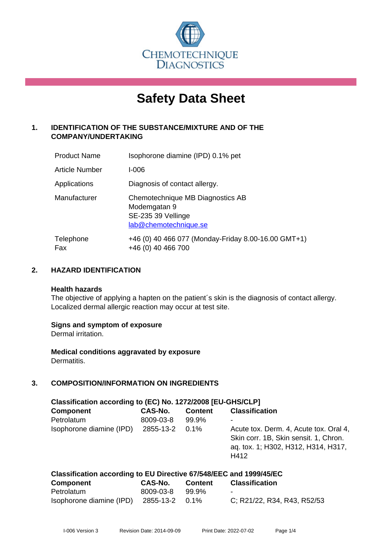

# **Safety Data Sheet**

# **1. IDENTIFICATION OF THE SUBSTANCE/MIXTURE AND OF THE COMPANY/UNDERTAKING**

| <b>Product Name</b> | Isophorone diamine (IPD) 0.1% pet                                                               |
|---------------------|-------------------------------------------------------------------------------------------------|
| Article Number      | I-006                                                                                           |
| Applications        | Diagnosis of contact allergy.                                                                   |
| Manufacturer        | Chemotechnique MB Diagnostics AB<br>Modemgatan 9<br>SE-235 39 Vellinge<br>lab@chemotechnique.se |
| Telephone<br>Fax    | +46 (0) 40 466 077 (Monday-Friday 8.00-16.00 GMT+1)<br>+46 (0) 40 466 700                       |

#### **2. HAZARD IDENTIFICATION**

#### **Health hazards**

The objective of applying a hapten on the patient's skin is the diagnosis of contact allergy. Localized dermal allergic reaction may occur at test site.

#### **Signs and symptom of exposure**

Dermal irritation.

**Medical conditions aggravated by exposure** Dermatitis.

# **3. COMPOSITION/INFORMATION ON INGREDIENTS**

| Classification according to (EC) No. 1272/2008 [EU-GHS/CLP]        |           |                |                                                                                                                                |  |
|--------------------------------------------------------------------|-----------|----------------|--------------------------------------------------------------------------------------------------------------------------------|--|
| <b>Component</b>                                                   | CAS-No.   | <b>Content</b> | <b>Classification</b>                                                                                                          |  |
| Petrolatum                                                         | 8009-03-8 | 99.9%          |                                                                                                                                |  |
| Isophorone diamine (IPD)                                           | 2855-13-2 | 0.1%           | Acute tox. Derm. 4, Acute tox. Oral 4,<br>Skin corr. 1B, Skin sensit. 1, Chron.<br>aq. tox. 1; H302, H312, H314, H317,<br>H412 |  |
| Classification according to EU Directive 67/548/EEC and 1999/45/EC |           |                |                                                                                                                                |  |

| <b>Component</b>                        | CAS-No.   | Content | <b>Classification</b>       |
|-----------------------------------------|-----------|---------|-----------------------------|
| Petrolatum                              | 8009-03-8 | 99.9%   | $\sim$                      |
| Isophorone diamine (IPD) 2855-13-2 0.1% |           |         | C; R21/22, R34, R43, R52/53 |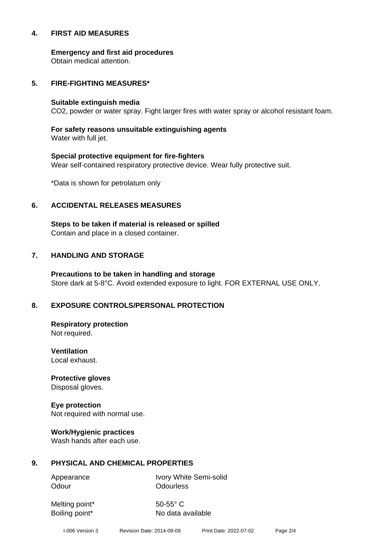#### **4. FIRST AID MEASURES**

**Emergency and first aid procedures**

Obtain medical attention.

#### **5. FIRE-FIGHTING MEASURES\***

#### **Suitable extinguish media**

CO2, powder or water spray. Fight larger fires with water spray or alcohol resistant foam.

# **For safety reasons unsuitable extinguishing agents**

Water with full jet.

# **Special protective equipment for fire-fighters** Wear self-contained respiratory protective device. Wear fully protective suit.

\*Data is shown for petrolatum only

#### **6. ACCIDENTAL RELEASES MEASURES**

**Steps to be taken if material is released or spilled** Contain and place in a closed container.

# **7. HANDLING AND STORAGE**

**Precautions to be taken in handling and storage** Store dark at 5-8°C. Avoid extended exposure to light. FOR EXTERNAL USE ONLY.

# **8. EXPOSURE CONTROLS/PERSONAL PROTECTION**

**Respiratory protection** Not required.

**Ventilation** Local exhaust.

**Protective gloves** Disposal gloves.

# **Eye protection**

Not required with normal use.

#### **Work/Hygienic practices**

Wash hands after each use.

#### **9. PHYSICAL AND CHEMICAL PROPERTIES**

Odour **Odourless** 

Appearance Ivory White Semi-solid

Melting point\* 50-55° C

Boiling point\* No data available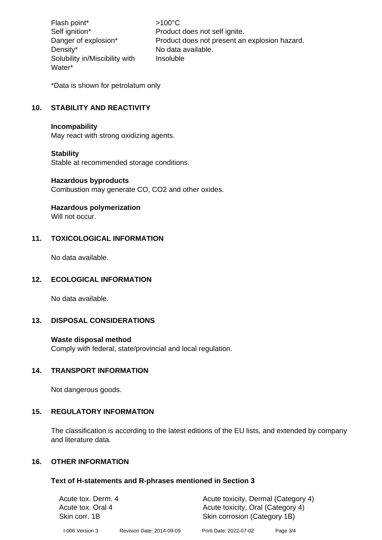Flash point\*  $>100^{\circ}$ C Density\* No data available. Solubility in/Miscibility with Water\*

Self ignition\* Product does not self ignite. Danger of explosion\* Product does not present an explosion hazard. Insoluble

\*Data is shown for petrolatum only

# **10. STABILITY AND REACTIVITY**

#### **Incompability**

May react with strong oxidizing agents.

#### **Stability**

Stable at recommended storage conditions.

#### **Hazardous byproducts**

Combustion may generate CO, CO2 and other oxides.

#### **Hazardous polymerization**

Will not occur.

#### **11. TOXICOLOGICAL INFORMATION**

No data available.

#### **12. ECOLOGICAL INFORMATION**

No data available.

# **13. DISPOSAL CONSIDERATIONS**

#### **Waste disposal method**

Comply with federal, state/provincial and local regulation.

#### **14. TRANSPORT INFORMATION**

Not dangerous goods.

#### **15. REGULATORY INFORMATION**

The classification is according to the latest editions of the EU lists, and extended by company and literature data.

#### **16. OTHER INFORMATION**

#### **Text of H-statements and R-phrases mentioned in Section 3**

| Acute tox. Derm. 4                 |                           | Acute toxicity, Dermal (Category 4)                               |            |
|------------------------------------|---------------------------|-------------------------------------------------------------------|------------|
| Acute tox. Oral 4<br>Skin corr. 1B |                           | Acute toxicity, Oral (Category 4)<br>Skin corrosion (Category 1B) |            |
|                                    |                           |                                                                   |            |
| I-006 Version 3                    | Revision Date: 2014-09-09 | Print Date: 2022-07-02                                            | Page $3/4$ |